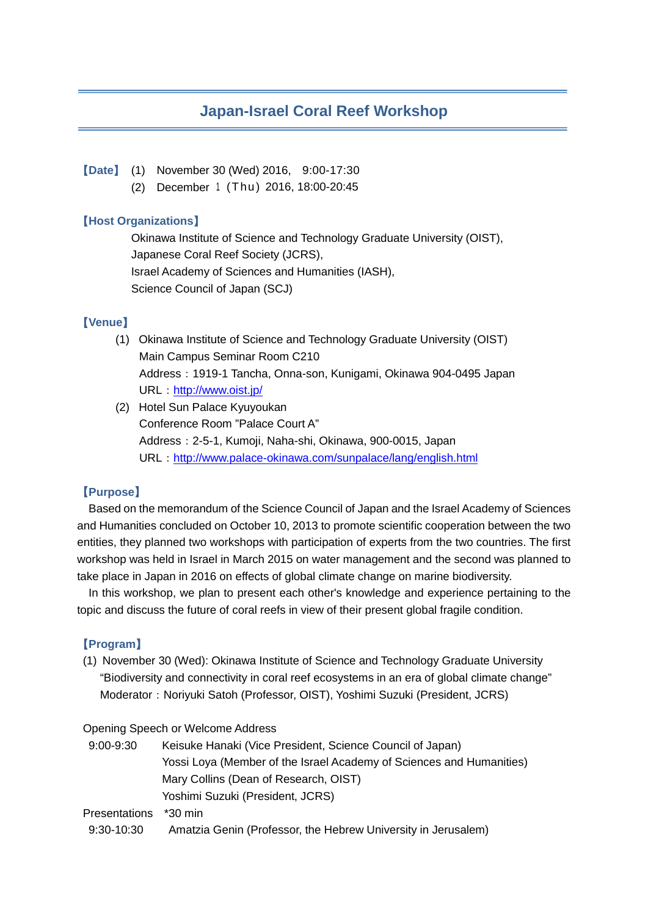# **Japan-Israel Coral Reef Workshop**

#### 【**Date**】 (1) November 30 (Wed) 2016, 9:00-17:30

(2) December <sup>1</sup> (Thu) 2016, 18:00-20:45

#### 【**Host Organizations**】

Okinawa Institute of Science and Technology Graduate University (OIST), Japanese Coral Reef Society (JCRS), Israel Academy of Sciences and Humanities (IASH), Science Council of Japan (SCJ)

### 【**Venue**】

- (1) Okinawa Institute of Science and Technology Graduate University (OIST) Main Campus Seminar Room C210 Address:1919-1 Tancha, Onna-son, Kunigami, Okinawa 904-0495 Japan URL: <http://www.oist.jp/>
- (2) Hotel Sun Palace Kyuyoukan Conference Room "Palace Court A" Address:2-5-1, Kumoji, Naha-shi, Okinawa, 900-0015, Japan URL:<http://www.palace-okinawa.com/sunpalace/lang/english.html>

### 【**Purpose**】

Based on the memorandum of the Science Council of Japan and the Israel Academy of Sciences and Humanities concluded on October 10, 2013 to promote scientific cooperation between the two entities, they planned two workshops with participation of experts from the two countries. The first workshop was held in Israel in March 2015 on water management and the second was planned to take place in Japan in 2016 on effects of global climate change on marine biodiversity.

In this workshop, we plan to present each other's knowledge and experience pertaining to the topic and discuss the future of coral reefs in view of their present global fragile condition.

## 【**Program**】

(1) November 30 (Wed): Okinawa Institute of Science and Technology Graduate University "Biodiversity and connectivity in coral reef ecosystems in an era of global climate change" Moderator: Noriyuki Satoh (Professor, OIST), Yoshimi Suzuki (President, JCRS)

#### Opening Speech or Welcome Address

| $9:00 - 9:30$ | Keisuke Hanaki (Vice President, Science Council of Japan)            |
|---------------|----------------------------------------------------------------------|
|               | Yossi Loya (Member of the Israel Academy of Sciences and Humanities) |
|               | Mary Collins (Dean of Research, OIST)                                |
|               | Yoshimi Suzuki (President, JCRS)                                     |
| Presentations | *30 min                                                              |
| $9:30-10:30$  | Amatzia Genin (Professor, the Hebrew University in Jerusalem)        |